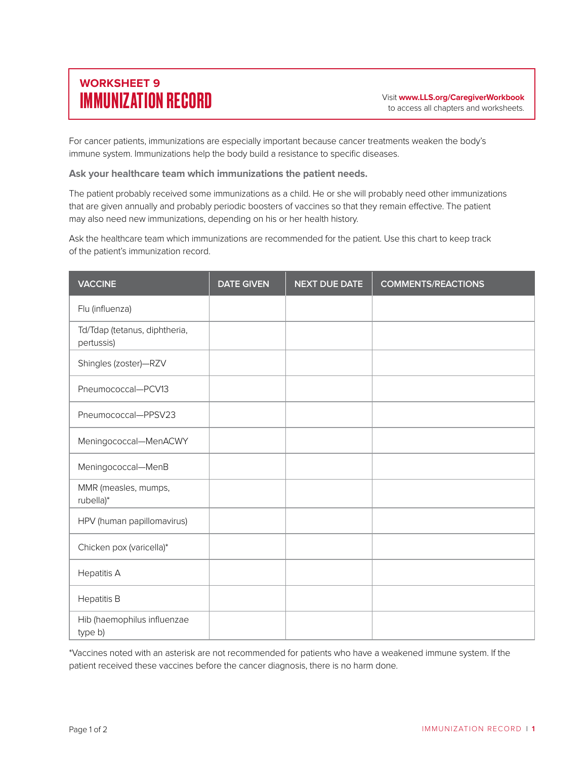## **WORKSHEET 9** IMMUNIZATION RECORD Visit **www.LLS.org/CaregiverWorkbook**

For cancer patients, immunizations are especially important because cancer treatments weaken the body's immune system. Immunizations help the body build a resistance to specific diseases.

**Ask your healthcare team which immunizations the patient needs.** 

The patient probably received some immunizations as a child. He or she will probably need other immunizations that are given annually and probably periodic boosters of vaccines so that they remain effective. The patient may also need new immunizations, depending on his or her health history.

Ask the healthcare team which immunizations are recommended for the patient. Use this chart to keep track of the patient's immunization record.

| <b>VACCINE</b>                              | <b>DATE GIVEN</b> | <b>NEXT DUE DATE</b> | <b>COMMENTS/REACTIONS</b> |
|---------------------------------------------|-------------------|----------------------|---------------------------|
| Flu (influenza)                             |                   |                      |                           |
| Td/Tdap (tetanus, diphtheria,<br>pertussis) |                   |                      |                           |
| Shingles (zoster)-RZV                       |                   |                      |                           |
| Pneumococcal-PCV13                          |                   |                      |                           |
| Pneumococcal-PPSV23                         |                   |                      |                           |
| Meningococcal-MenACWY                       |                   |                      |                           |
| Meningococcal-MenB                          |                   |                      |                           |
| MMR (measles, mumps,<br>rubella)*           |                   |                      |                           |
| HPV (human papillomavirus)                  |                   |                      |                           |
| Chicken pox (varicella)*                    |                   |                      |                           |
| <b>Hepatitis A</b>                          |                   |                      |                           |
| <b>Hepatitis B</b>                          |                   |                      |                           |
| Hib (haemophilus influenzae<br>type b)      |                   |                      |                           |

\*Vaccines noted with an asterisk are not recommended for patients who have a weakened immune system. If the patient received these vaccines before the cancer diagnosis, there is no harm done.